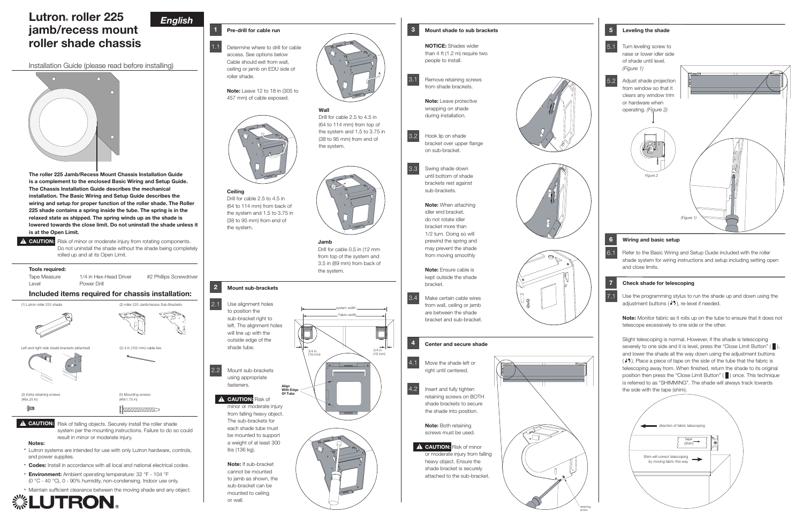



# Lutron ® roller 225 jamb/recess mount roller shade chassis

Installation Guide (please read before installing)



# *English*

## Pre-drill for cable run

1.1 Determine where to drill for cable **the street of the street of the street of the street of the street of the street of the street of the street of the street of the street of the street of the street of the street of** access. See options below Cable should exit from wall, ceiling or jamb on EDU side of roller shade.



Note: Leave 12 to 18 in (305 to 457 mm) of cable exposed.



Note: Leave protective wrapping on shade during installation.



Move the shade left or right until centered. 4.1

**Ceiling** Drill for cable 2.5 to 4.5 in (64 to 114 mm) from back of the system and 1.5 to 3.75 in (38 to 95 mm) from end of the system.



# Wall

(64 to 114 mm) from top of the system and 1.5 to 3.75 in (38 to 95 mm) from end of the system.



#### Jamb Drill for cable 0.5 in (12 mm from top of the system and 3.5 in (89 mm) from back of the system.

**A CAUTION:** Risk of minor or moderate injury from falling heavy object. Ensure the shade bracket is securely attached to the sub-bracket.

**Align With Edge Of Tube**

system widt h

3/4 in (19 mm) 3/4 in (19 mm)

Fabric widt h

# 2 Mount sub-brackets

Use alignment holes to position the sub-bracket right to left. The alignment holes will line up with the outside edge of the shade tube. 2.1





minor or moderate injury from falling heavy object. The sub-brackets for each shade tube must be mounted to support a weight of at least 300 lbs (136 kg).

Mount sub-brackets using appropriate fasteners. 2.2

**CAUTION: Risk of** 

Note: If sub-bracket cannot be mounted to jamb as shown, the sub-bracket can be mounted to ceiling or wall.

# 3 Mount shade to sub brackets

NOTICE: Shades wider than 4 ft (1.2 m) require two people to install.

Hook lip on shade bracket over upper flange on sub-bracket.

> Use the programming stylus to run the shade up and down using the adjustment buttons ( $\sqrt{3}$ ), re-level if needed.

Swing shade down until bottom of shade brackets rest against sub-brackets.

> Note: Monitor fabric as it rolls up on the tube to ensure that it does not telescope excessively to one side or the other.

Note: When attaching idler end bracket, do not rotate idler bracket more than 1/2 turn. Doing so will prewind the spring and may prevent the shade from moving smoothly

Note: Ensure cable is kept outside the shade bracket.



Make certain cable wires from wall, ceiling or jamb are between the shade bracket and sub-bracket. 3.4

# Center and secure shade



**A CAUTION:** Risk of minor or moderate injury from rotating components. Do not uninstall the shade without the shade being completely rolled up and at its Open Limit.

> Insert and fully tighten retaining screws on BOTH shade brackets to secure

the shade into position.

Note: Both retaining screws must be used.

4.2

The roller 225 Jamb/Recess Mount Chassis Installation Guide is a complement to the enclosed Basic Wiring and Setup Guide. The Chassis Installation Guide describes the mechanical installation. The Basic Wiring and Setup Guide describes the wiring and setup for proper function of the roller shade. The Roller 225 shade contains a spring inside the tube. The spring is in the relaxed state as shipped. The spring winds up as the shade is lowered towards the close limit. Do not uninstall the shade unless it is at the Open Limit.

## Tools required:



- Codes: Install in accordance with all local and national electrical codes.
- Environment: Ambient operating temperature: 32 °F 104 °F (0 °C - 40 °C), 0 - 90% humidity, non-condensing. Indoor use only.
- Maintain sufficient clearance between the moving shade and any object.



#### 6 Wiring and basic setup

Refer to the Basic Wiring and Setup Guide included with the roller shade system for wiring instructions and setup including setting open and close limits.

#### **7** Check shade for telescoping

6.1

Slight telescoping is normal. However, if the shade is telescoping severely to one side and it is level, press the "Close Limit Button" ( $\blacksquare$ ) and lower the shade all the way down using the adjustment buttons ( $25$ ). Place a piece of tape on the side of the tube that the fabric is telescoping away from. When finished, return the shade to its original position then press the "Close Limit Button" ( ) once. This technique is referred to as "SHIMMING". The shade will always track towards the side with the tape (shim).

7.1